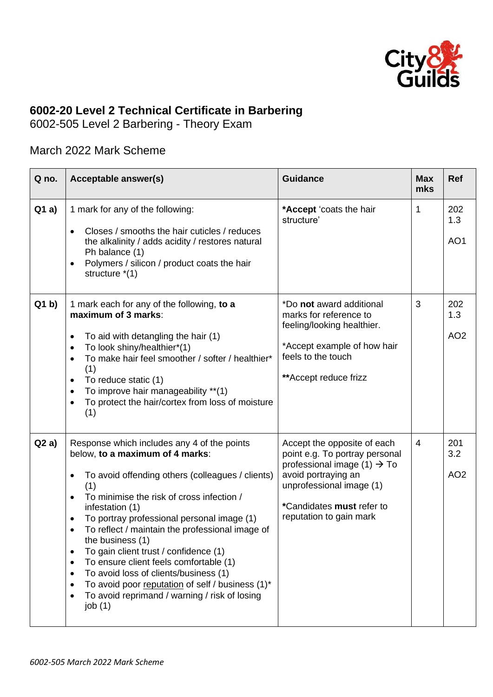

## **6002-20 Level 2 Technical Certificate in Barbering**

6002-505 Level 2 Barbering - Theory Exam

## March 2022 Mark Scheme

| Q no. | Acceptable answer(s)                                                                                                                                                                                                                                                                                                                                                                                                                                                                                                                                                                                                                                                                              | <b>Guidance</b>                                                                                                                                                                                                     | <b>Max</b><br>mks | Ref                           |
|-------|---------------------------------------------------------------------------------------------------------------------------------------------------------------------------------------------------------------------------------------------------------------------------------------------------------------------------------------------------------------------------------------------------------------------------------------------------------------------------------------------------------------------------------------------------------------------------------------------------------------------------------------------------------------------------------------------------|---------------------------------------------------------------------------------------------------------------------------------------------------------------------------------------------------------------------|-------------------|-------------------------------|
| Q1a)  | 1 mark for any of the following:<br>Closes / smooths the hair cuticles / reduces<br>$\bullet$<br>the alkalinity / adds acidity / restores natural<br>Ph balance (1)<br>Polymers / silicon / product coats the hair<br>$\bullet$<br>structure *(1)                                                                                                                                                                                                                                                                                                                                                                                                                                                 | *Accept 'coats the hair<br>structure'                                                                                                                                                                               | 1                 | 202<br>1.3<br>AO <sub>1</sub> |
| Q1 b  | 1 mark each for any of the following, to a<br>maximum of 3 marks:<br>To aid with detangling the hair (1)<br>$\bullet$<br>To look shiny/healthier*(1)<br>$\bullet$<br>To make hair feel smoother / softer / healthier*<br>$\bullet$<br>(1)<br>To reduce static (1)<br>$\bullet$<br>To improve hair manageability **(1)<br>$\bullet$<br>To protect the hair/cortex from loss of moisture<br>$\bullet$<br>(1)                                                                                                                                                                                                                                                                                        | *Do not award additional<br>marks for reference to<br>feeling/looking healthier.<br>*Accept example of how hair<br>feels to the touch<br>** Accept reduce frizz                                                     | 3                 | 202<br>1.3<br>AO <sub>2</sub> |
| Q2a)  | Response which includes any 4 of the points<br>below, to a maximum of 4 marks:<br>To avoid offending others (colleagues / clients)<br>$\bullet$<br>(1)<br>To minimise the risk of cross infection /<br>$\bullet$<br>infestation (1)<br>To portray professional personal image (1)<br>$\bullet$<br>To reflect / maintain the professional image of<br>$\bullet$<br>the business (1)<br>To gain client trust / confidence (1)<br>$\bullet$<br>To ensure client feels comfortable (1)<br>$\bullet$<br>To avoid loss of clients/business (1)<br>$\bullet$<br>To avoid poor reputation of self / business (1)*<br>$\bullet$<br>To avoid reprimand / warning / risk of losing<br>$\bullet$<br>job $(1)$ | Accept the opposite of each<br>point e.g. To portray personal<br>professional image (1) $\rightarrow$ To<br>avoid portraying an<br>unprofessional image (1)<br>*Candidates must refer to<br>reputation to gain mark | $\overline{4}$    | 201<br>3.2<br>AO <sub>2</sub> |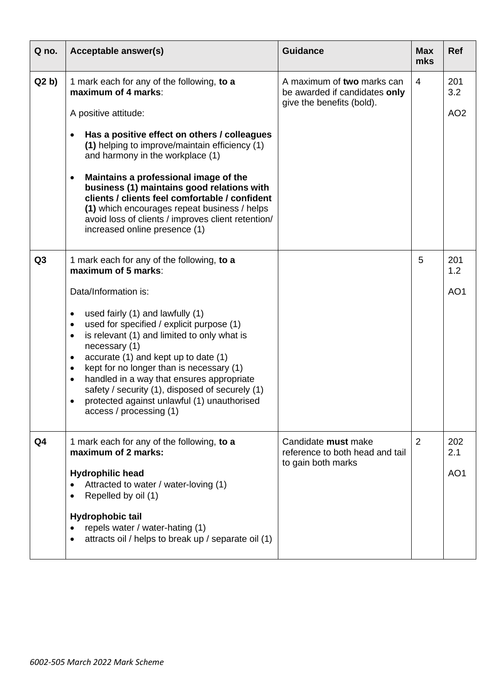| Q no.          | Acceptable answer(s)                                                                                                                                                                                                                                                                                                                                                                                                                                                                                                                                   | <b>Guidance</b>                                                                          | <b>Max</b><br>mks | <b>Ref</b>                    |
|----------------|--------------------------------------------------------------------------------------------------------------------------------------------------------------------------------------------------------------------------------------------------------------------------------------------------------------------------------------------------------------------------------------------------------------------------------------------------------------------------------------------------------------------------------------------------------|------------------------------------------------------------------------------------------|-------------------|-------------------------------|
| Q2 b           | 1 mark each for any of the following, to a<br>maximum of 4 marks:<br>A positive attitude:<br>Has a positive effect on others / colleagues<br>(1) helping to improve/maintain efficiency (1)<br>and harmony in the workplace (1)<br>Maintains a professional image of the<br>$\bullet$<br>business (1) maintains good relations with<br>clients / clients feel comfortable / confident<br>(1) which encourages repeat business / helps<br>avoid loss of clients / improves client retention/<br>increased online presence (1)                           | A maximum of two marks can<br>be awarded if candidates only<br>give the benefits (bold). | $\overline{4}$    | 201<br>3.2<br>AO <sub>2</sub> |
| Q <sub>3</sub> | 1 mark each for any of the following, to a<br>maximum of 5 marks:<br>Data/Information is:<br>used fairly (1) and lawfully (1)<br>٠<br>used for specified / explicit purpose (1)<br>$\bullet$<br>is relevant (1) and limited to only what is<br>$\bullet$<br>necessary (1)<br>accurate (1) and kept up to date (1)<br>٠<br>kept for no longer than is necessary (1)<br>٠<br>handled in a way that ensures appropriate<br>٠<br>safety / security (1), disposed of securely (1)<br>protected against unlawful (1) unauthorised<br>access / processing (1) |                                                                                          | 5                 | 201<br>1.2<br>AO <sub>1</sub> |
| Q4             | 1 mark each for any of the following, to a<br>maximum of 2 marks:<br><b>Hydrophilic head</b><br>Attracted to water / water-loving (1)<br>Repelled by oil (1)<br><b>Hydrophobic tail</b><br>repels water / water-hating (1)<br>attracts oil / helps to break up / separate oil (1)                                                                                                                                                                                                                                                                      | Candidate must make<br>reference to both head and tail<br>to gain both marks             | $\overline{2}$    | 202<br>2.1<br>AO <sub>1</sub> |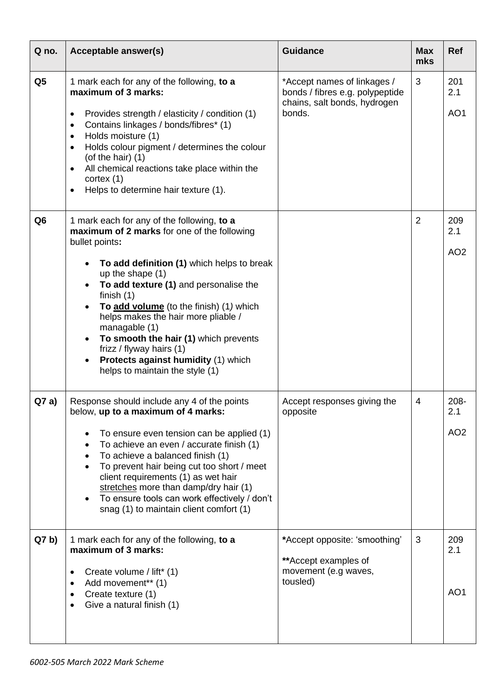| Q no.           | Acceptable answer(s)                                                                                                                                                                                                                                                                                                                                                                                                                                                                      | <b>Guidance</b>                                                                                          | <b>Max</b><br>mks | <b>Ref</b>                     |
|-----------------|-------------------------------------------------------------------------------------------------------------------------------------------------------------------------------------------------------------------------------------------------------------------------------------------------------------------------------------------------------------------------------------------------------------------------------------------------------------------------------------------|----------------------------------------------------------------------------------------------------------|-------------------|--------------------------------|
| Q <sub>5</sub>  | 1 mark each for any of the following, to a<br>maximum of 3 marks:<br>Provides strength / elasticity / condition (1)<br>$\bullet$<br>Contains linkages / bonds/fibres* (1)<br>$\bullet$<br>Holds moisture (1)<br>$\bullet$<br>Holds colour pigment / determines the colour<br>$\bullet$<br>(of the hair) $(1)$<br>All chemical reactions take place within the<br>$\bullet$<br>cortex (1)<br>Helps to determine hair texture (1).<br>$\bullet$                                             | *Accept names of linkages /<br>bonds / fibres e.g. polypeptide<br>chains, salt bonds, hydrogen<br>bonds. | 3                 | 201<br>2.1<br>AO <sub>1</sub>  |
| Q <sub>6</sub>  | 1 mark each for any of the following, to a<br>maximum of 2 marks for one of the following<br>bullet points:<br>To add definition (1) which helps to break<br>up the shape (1)<br>To add texture (1) and personalise the<br>finish $(1)$<br>To add volume (to the finish) (1) which<br>helps makes the hair more pliable /<br>managable (1)<br>To smooth the hair (1) which prevents<br>frizz / flyway hairs (1)<br>Protects against humidity (1) which<br>helps to maintain the style (1) |                                                                                                          | $\overline{2}$    | 209<br>2.1<br>AO <sub>2</sub>  |
| Q7a)            | Response should include any 4 of the points<br>below, up to a maximum of 4 marks:<br>To ensure even tension can be applied (1)<br>To achieve an even / accurate finish (1)<br>To achieve a balanced finish (1)<br>To prevent hair being cut too short / meet<br>client requirements (1) as wet hair<br>stretches more than damp/dry hair (1)<br>To ensure tools can work effectively / don't<br>snag (1) to maintain client comfort (1)                                                   | Accept responses giving the<br>opposite                                                                  | 4                 | 208-<br>2.1<br>AO <sub>2</sub> |
| Q7 <sub>b</sub> | 1 mark each for any of the following, to a<br>maximum of 3 marks:<br>Create volume / lift* (1)<br>Add movement** (1)<br>٠<br>Create texture (1)<br>$\bullet$<br>Give a natural finish (1)                                                                                                                                                                                                                                                                                                 | *Accept opposite: 'smoothing'<br>**Accept examples of<br>movement (e.g waves,<br>tousled)                | 3                 | 209<br>2.1<br>AO <sub>1</sub>  |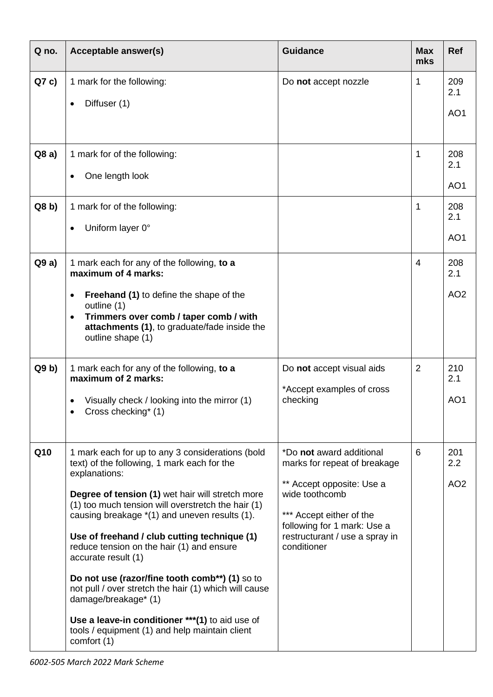| Q no. | Acceptable answer(s)                                                                                                                                    | <b>Guidance</b>                                                                                                                                         | <b>Max</b><br>mks | <b>Ref</b>      |
|-------|---------------------------------------------------------------------------------------------------------------------------------------------------------|---------------------------------------------------------------------------------------------------------------------------------------------------------|-------------------|-----------------|
| Q7c   | 1 mark for the following:<br>Diffuser (1)<br>٠                                                                                                          | Do not accept nozzle                                                                                                                                    | 1                 | 209<br>2.1      |
|       |                                                                                                                                                         |                                                                                                                                                         |                   | AO1             |
| Q8a)  | 1 mark for of the following:                                                                                                                            |                                                                                                                                                         | 1                 | 208<br>2.1      |
|       | One length look                                                                                                                                         |                                                                                                                                                         |                   | AO <sub>1</sub> |
| Q8 b) | 1 mark for of the following:                                                                                                                            |                                                                                                                                                         | 1                 | 208<br>2.1      |
|       | Uniform layer 0°                                                                                                                                        |                                                                                                                                                         |                   | AO <sub>1</sub> |
| Q9a)  | 1 mark each for any of the following, to a<br>maximum of 4 marks:                                                                                       |                                                                                                                                                         | 4                 | 208<br>2.1      |
|       | <b>Freehand (1)</b> to define the shape of the<br>$\bullet$<br>outline (1)                                                                              |                                                                                                                                                         |                   | AO <sub>2</sub> |
|       | Trimmers over comb / taper comb / with<br>$\bullet$<br>attachments (1), to graduate/fade inside the<br>outline shape (1)                                |                                                                                                                                                         |                   |                 |
| Q9 b) | 1 mark each for any of the following, to a<br>maximum of 2 marks:                                                                                       | Do not accept visual aids                                                                                                                               | 2                 | 210<br>2.1      |
|       | Visually check / looking into the mirror (1)<br>Cross checking* (1)                                                                                     | *Accept examples of cross<br>checking                                                                                                                   |                   | AO <sub>1</sub> |
| Q10   | 1 mark each for up to any 3 considerations (bold<br>text) of the following, 1 mark each for the<br>explanations:                                        | *Do not award additional<br>marks for repeat of breakage                                                                                                | 6                 | 201<br>2.2      |
|       | Degree of tension (1) wet hair will stretch more<br>(1) too much tension will overstretch the hair (1)<br>causing breakage *(1) and uneven results (1). | ** Accept opposite: Use a<br>wide toothcomb<br>*** Accept either of the<br>following for 1 mark: Use a<br>restructurant / use a spray in<br>conditioner |                   | AO <sub>2</sub> |
|       | Use of freehand / club cutting technique (1)<br>reduce tension on the hair (1) and ensure<br>accurate result (1)                                        |                                                                                                                                                         |                   |                 |
|       | Do not use (razor/fine tooth comb**) (1) so to<br>not pull / over stretch the hair (1) which will cause<br>damage/breakage* (1)                         |                                                                                                                                                         |                   |                 |
|       | Use a leave-in conditioner *** (1) to aid use of<br>tools / equipment (1) and help maintain client<br>comfort (1)                                       |                                                                                                                                                         |                   |                 |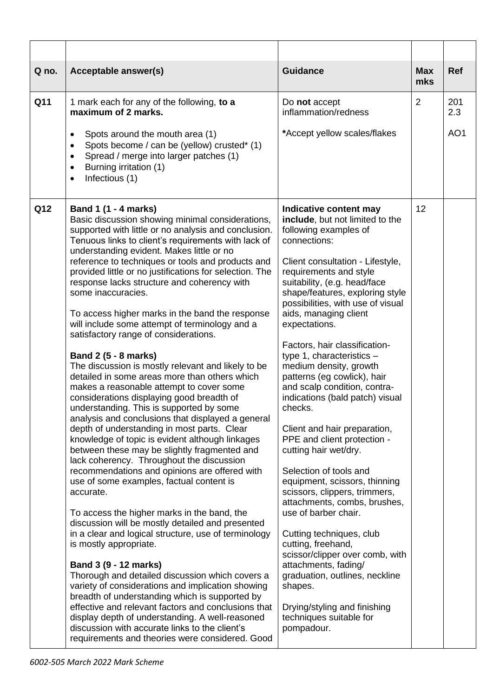| Acceptable answer(s)<br>Q no.                                                                                                                                                                                                                                                                                                                                                                                                                                                                                                                                                                                                                                                                                                                                                                                                                                                                                                                                                                                                                                                                                                                                                                                                                                                                                                                                                                                                                                                                                                                                                                                                                                                                                                                                                                           | <b>Guidance</b>                                                                                                                                                                                                                                                                                                                                                                                                                                                                                                                                                                                                                                                                                                                                                                                                                                                                                                                                                                                          | <b>Max</b><br>mks | <b>Ref</b>      |
|---------------------------------------------------------------------------------------------------------------------------------------------------------------------------------------------------------------------------------------------------------------------------------------------------------------------------------------------------------------------------------------------------------------------------------------------------------------------------------------------------------------------------------------------------------------------------------------------------------------------------------------------------------------------------------------------------------------------------------------------------------------------------------------------------------------------------------------------------------------------------------------------------------------------------------------------------------------------------------------------------------------------------------------------------------------------------------------------------------------------------------------------------------------------------------------------------------------------------------------------------------------------------------------------------------------------------------------------------------------------------------------------------------------------------------------------------------------------------------------------------------------------------------------------------------------------------------------------------------------------------------------------------------------------------------------------------------------------------------------------------------------------------------------------------------|----------------------------------------------------------------------------------------------------------------------------------------------------------------------------------------------------------------------------------------------------------------------------------------------------------------------------------------------------------------------------------------------------------------------------------------------------------------------------------------------------------------------------------------------------------------------------------------------------------------------------------------------------------------------------------------------------------------------------------------------------------------------------------------------------------------------------------------------------------------------------------------------------------------------------------------------------------------------------------------------------------|-------------------|-----------------|
| Q11<br>1 mark each for any of the following, to a<br>maximum of 2 marks.                                                                                                                                                                                                                                                                                                                                                                                                                                                                                                                                                                                                                                                                                                                                                                                                                                                                                                                                                                                                                                                                                                                                                                                                                                                                                                                                                                                                                                                                                                                                                                                                                                                                                                                                | Do not accept<br>inflammation/redness                                                                                                                                                                                                                                                                                                                                                                                                                                                                                                                                                                                                                                                                                                                                                                                                                                                                                                                                                                    | $\overline{2}$    | 201<br>2.3      |
| Spots around the mouth area (1)<br>Spots become / can be (yellow) crusted* (1)<br>Spread / merge into larger patches (1)<br>$\bullet$<br>Burning irritation (1)<br>$\bullet$<br>Infectious (1)<br>$\bullet$                                                                                                                                                                                                                                                                                                                                                                                                                                                                                                                                                                                                                                                                                                                                                                                                                                                                                                                                                                                                                                                                                                                                                                                                                                                                                                                                                                                                                                                                                                                                                                                             | *Accept yellow scales/flakes                                                                                                                                                                                                                                                                                                                                                                                                                                                                                                                                                                                                                                                                                                                                                                                                                                                                                                                                                                             |                   | AO <sub>1</sub> |
| Q12<br>Band 1 (1 - 4 marks)<br>Basic discussion showing minimal considerations,<br>supported with little or no analysis and conclusion.<br>Tenuous links to client's requirements with lack of<br>understanding evident. Makes little or no<br>reference to techniques or tools and products and<br>provided little or no justifications for selection. The<br>response lacks structure and coherency with<br>some inaccuracies.<br>To access higher marks in the band the response<br>will include some attempt of terminology and a<br>satisfactory range of considerations.<br>Band 2 (5 - 8 marks)<br>The discussion is mostly relevant and likely to be<br>detailed in some areas more than others which<br>makes a reasonable attempt to cover some<br>considerations displaying good breadth of<br>understanding. This is supported by some<br>analysis and conclusions that displayed a general<br>depth of understanding in most parts. Clear<br>knowledge of topic is evident although linkages<br>between these may be slightly fragmented and<br>lack coherency. Throughout the discussion<br>recommendations and opinions are offered with<br>use of some examples, factual content is<br>accurate.<br>To access the higher marks in the band, the<br>discussion will be mostly detailed and presented<br>in a clear and logical structure, use of terminology<br>is mostly appropriate.<br>Band 3 (9 - 12 marks)<br>Thorough and detailed discussion which covers a<br>variety of considerations and implication showing<br>breadth of understanding which is supported by<br>effective and relevant factors and conclusions that<br>display depth of understanding. A well-reasoned<br>discussion with accurate links to the client's<br>requirements and theories were considered. Good | Indicative content may<br>include, but not limited to the<br>following examples of<br>connections:<br>Client consultation - Lifestyle,<br>requirements and style<br>suitability, (e.g. head/face<br>shape/features, exploring style<br>possibilities, with use of visual<br>aids, managing client<br>expectations.<br>Factors, hair classification-<br>type 1, characteristics $-$<br>medium density, growth<br>patterns (eg cowlick), hair<br>and scalp condition, contra-<br>indications (bald patch) visual<br>checks.<br>Client and hair preparation,<br>PPE and client protection -<br>cutting hair wet/dry.<br>Selection of tools and<br>equipment, scissors, thinning<br>scissors, clippers, trimmers,<br>attachments, combs, brushes,<br>use of barber chair.<br>Cutting techniques, club<br>cutting, freehand,<br>scissor/clipper over comb, with<br>attachments, fading/<br>graduation, outlines, neckline<br>shapes.<br>Drying/styling and finishing<br>techniques suitable for<br>pompadour. | 12                |                 |